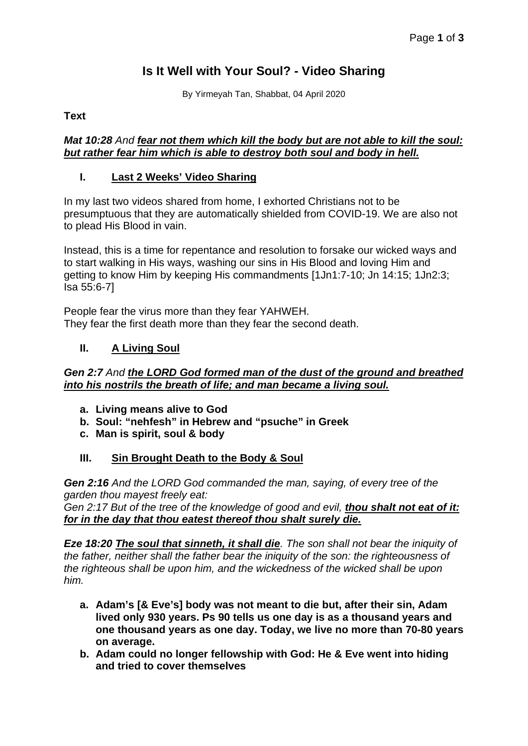# **Is It Well with Your Soul? - Video Sharing**

By Yirmeyah Tan, Shabbat, 04 April 2020

### **Text**

#### *Mat 10:28 And fear not them which kill the body but are not able to kill the soul: but rather fear him which is able to destroy both soul and body in hell.*

## **I. Last 2 Weeks' Video Sharing**

In my last two videos shared from home, I exhorted Christians not to be presumptuous that they are automatically shielded from COVID-19. We are also not to plead His Blood in vain.

Instead, this is a time for repentance and resolution to forsake our wicked ways and to start walking in His ways, washing our sins in His Blood and loving Him and getting to know Him by keeping His commandments [1Jn1:7-10; Jn 14:15; 1Jn2:3; Isa 55:6-7]

People fear the virus more than they fear YAHWEH. They fear the first death more than they fear the second death.

## **II. A Living Soul**

#### *Gen 2:7 And the LORD God formed man of the dust of the ground and breathed into his nostrils the breath of life; and man became a living soul.*

- **a. Living means alive to God**
- **b. Soul: "nehfesh" in Hebrew and "psuche" in Greek**
- **c. Man is spirit, soul & body**

## **III. Sin Brought Death to the Body & Soul**

*Gen 2:16 And the LORD God commanded the man, saying, of every tree of the garden thou mayest freely eat: Gen 2:17 But of the tree of the knowledge of good and evil, thou shalt not eat of it:*

*for in the day that thou eatest thereof thou shalt surely die.*

*Eze 18:20 The soul that sinneth, it shall die. The son shall not bear the iniquity of the father, neither shall the father bear the iniquity of the son: the righteousness of the righteous shall be upon him, and the wickedness of the wicked shall be upon him.*

- **a. Adam's [& Eve's] body was not meant to die but, after their sin, Adam lived only 930 years. Ps 90 tells us one day is as a thousand years and one thousand years as one day. Today, we live no more than 70-80 years on average.**
- **b. Adam could no longer fellowship with God: He & Eve went into hiding and tried to cover themselves**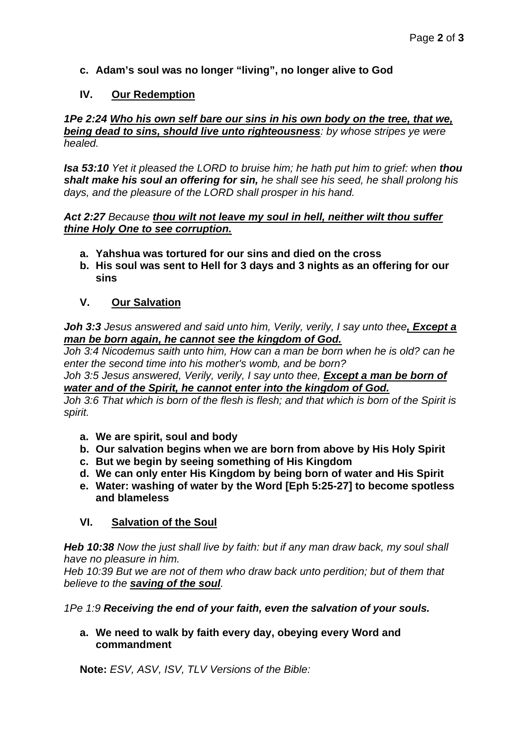## **c. Adam's soul was no longer "living", no longer alive to God**

#### **IV. Our Redemption**

#### *1Pe 2:24 Who his own self bare our sins in his own body on the tree, that we, being dead to sins, should live unto righteousness: by whose stripes ye were healed.*

*Isa 53:10 Yet it pleased the LORD to bruise him; he hath put him to grief: when thou shalt make his soul an offering for sin, he shall see his seed, he shall prolong his days, and the pleasure of the LORD shall prosper in his hand.*

#### *Act 2:27 Because thou wilt not leave my soul in hell, neither wilt thou suffer thine Holy One to see corruption.*

- **a. Yahshua was tortured for our sins and died on the cross**
- **b. His soul was sent to Hell for 3 days and 3 nights as an offering for our sins**

### **V. Our Salvation**

*Joh 3:3 Jesus answered and said unto him, Verily, verily, I say unto thee, Except a man be born again, he cannot see the kingdom of God.*

*Joh 3:4 Nicodemus saith unto him, How can a man be born when he is old? can he enter the second time into his mother's womb, and be born?*

*Joh 3:5 Jesus answered, Verily, verily, I say unto thee, Except a man be born of water and of the Spirit, he cannot enter into the kingdom of God.*

*Joh 3:6 That which is born of the flesh is flesh; and that which is born of the Spirit is spirit.*

- **a. We are spirit, soul and body**
- **b. Our salvation begins when we are born from above by His Holy Spirit**
- **c. But we begin by seeing something of His Kingdom**
- **d. We can only enter His Kingdom by being born of water and His Spirit**
- **e. Water: washing of water by the Word [Eph 5:25-27] to become spotless and blameless**

## **VI. Salvation of the Soul**

*Heb 10:38 Now the just shall live by faith: but if any man draw back, my soul shall have no pleasure in him.*

*Heb 10:39 But we are not of them who draw back unto perdition; but of them that believe to the saving of the soul.*

*1Pe 1:9 Receiving the end of your faith, even the salvation of your souls.*

**a. We need to walk by faith every day, obeying every Word and commandment**

**Note:** *ESV, ASV, ISV, TLV Versions of the Bible:*